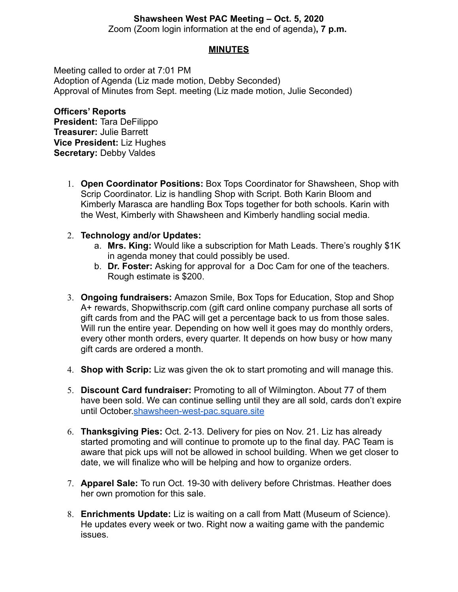# **Shawsheen West PAC Meeting – Oct. 5, 2020**

Zoom (Zoom login information at the end of agenda)**, 7 p.m.**

# **MINUTES**

Meeting called to order at 7:01 PM Adoption of Agenda (Liz made motion, Debby Seconded) Approval of Minutes from Sept. meeting (Liz made motion, Julie Seconded)

**Officers' Reports President:** Tara DeFilippo **Treasurer:** Julie Barrett **Vice President:** Liz Hughes **Secretary:** Debby Valdes

> 1. **Open Coordinator Positions:** Box Tops Coordinator for Shawsheen, Shop with Scrip Coordinator. Liz is handling Shop with Script. Both Karin Bloom and Kimberly Marasca are handling Box Tops together for both schools. Karin with the West, Kimberly with Shawsheen and Kimberly handling social media.

#### 2. **Technology and/or Updates:**

- a. **Mrs. King:** Would like a subscription for Math Leads. There's roughly \$1K in agenda money that could possibly be used.
- b. **Dr. Foster:** Asking for approval for a Doc Cam for one of the teachers. Rough estimate is \$200.
- 3. **Ongoing fundraisers:** Amazon Smile, Box Tops for Education, Stop and Shop A+ rewards, Shopwithscrip.com (gift card online company purchase all sorts of gift cards from and the PAC will get a percentage back to us from those sales. Will run the entire year. Depending on how well it goes may do monthly orders, every other month orders, every quarter. It depends on how busy or how many gift cards are ordered a month.
- 4. **Shop with Scrip:** Liz was given the ok to start promoting and will manage this.
- 5. **Discount Card fundraiser:** Promoting to all of Wilmington. About 77 of them have been sold. We can continue selling until they are all sold, cards don't expire until October.[shawsheen-west-pac.square.site](http://shawsheen-west-pac.square.site)
- 6. **Thanksgiving Pies:** Oct. 2-13. Delivery for pies on Nov. 21. Liz has already started promoting and will continue to promote up to the final day. PAC Team is aware that pick ups will not be allowed in school building. When we get closer to date, we will finalize who will be helping and how to organize orders.
- 7. **Apparel Sale:** To run Oct. 19-30 with delivery before Christmas. Heather does her own promotion for this sale.
- 8. **Enrichments Update:** Liz is waiting on a call from Matt (Museum of Science). He updates every week or two. Right now a waiting game with the pandemic issues.